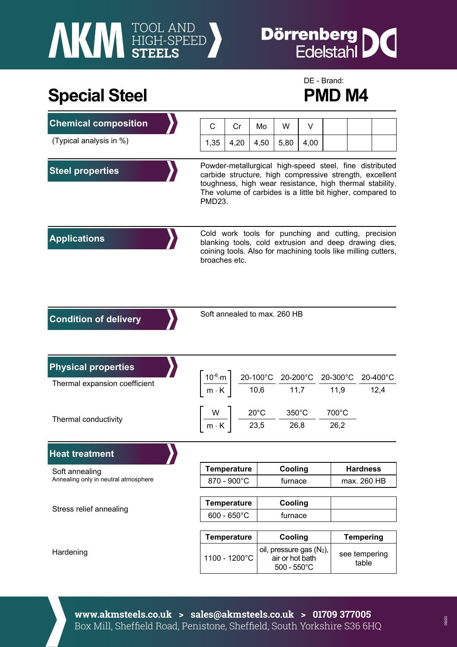# **AKI HIGH-SPEED**

### **Dörrenberg** IC

## Special Steel PMD M4

# DE - Brand:

| <b>Chemical composition</b>          | С                                                                                                                                                                                                                                                      | Cr                 | Mo   | W                                                                                                                                       | V    |                                         |                        |                  |
|--------------------------------------|--------------------------------------------------------------------------------------------------------------------------------------------------------------------------------------------------------------------------------------------------------|--------------------|------|-----------------------------------------------------------------------------------------------------------------------------------------|------|-----------------------------------------|------------------------|------------------|
| (Typical analysis in %)              | 1,35                                                                                                                                                                                                                                                   | 4,20               | 4,50 | 5,80                                                                                                                                    | 4,00 |                                         |                        |                  |
| <b>Steel properties</b>              | Powder-metallurgical high-speed steel, fine distributed<br>carbide structure, high compressive strength, excellent<br>toughness, high wear resistance, high thermal stability.<br>The volume of carbides is a little bit higher, compared to<br>PMD23. |                    |      |                                                                                                                                         |      |                                         |                        |                  |
| <b>Applications</b>                  | Cold work tools for punching and cutting, precision<br>blanking tools, cold extrusion and deep drawing dies,<br>coining tools. Also for machining tools like milling cutters,<br>broaches etc.                                                         |                    |      |                                                                                                                                         |      |                                         |                        |                  |
| <b>Condition of delivery</b>         |                                                                                                                                                                                                                                                        |                    |      | Soft annealed to max. 260 HB                                                                                                            |      |                                         |                        |                  |
| <b>Physical properties</b>           |                                                                                                                                                                                                                                                        |                    |      |                                                                                                                                         |      |                                         |                        |                  |
| Thermal expansion coefficient        |                                                                                                                                                                                                                                                        |                    |      | $\left[\frac{10^{-6}\text{·m}}{\text{m} \cdot \text{K}}\right] \frac{\text{20-100°C}}{\text{10,6}} \frac{\text{20-200°C}}{\text{11,7}}$ |      | $20\text{-}300^{\circ}\text{C}$<br>11,9 |                        | 20-400°C<br>12,4 |
|                                      |                                                                                                                                                                                                                                                        |                    |      | $\frac{W}{m \cdot K}$ $\frac{20^{\circ}C}{23.5}$ $\frac{350^{\circ}C}{26.8}$                                                            |      |                                         | 700°C                  |                  |
| Thermal conductivity                 |                                                                                                                                                                                                                                                        |                    |      |                                                                                                                                         |      | 26,2                                    |                        |                  |
| <b>Heat treatment</b>                |                                                                                                                                                                                                                                                        |                    |      |                                                                                                                                         |      |                                         |                        |                  |
| Soft annealing                       | <b>Temperature</b>                                                                                                                                                                                                                                     |                    |      | Cooling                                                                                                                                 |      |                                         | <b>Hardness</b>        |                  |
| Annealing only in neutral atmosphere | 870 - 900°C                                                                                                                                                                                                                                            |                    |      | furnace                                                                                                                                 |      |                                         | max. 260 HB            |                  |
| Stress relief annealing              | <b>Temperature</b>                                                                                                                                                                                                                                     |                    |      | Cooling                                                                                                                                 |      |                                         |                        |                  |
|                                      | $600 - 650^{\circ}$ C                                                                                                                                                                                                                                  |                    |      | furnace                                                                                                                                 |      |                                         |                        |                  |
|                                      |                                                                                                                                                                                                                                                        | <b>Temperature</b> |      | Cooling                                                                                                                                 |      |                                         | <b>Tempering</b>       |                  |
| Hardening                            | 1100 - 1200°C                                                                                                                                                                                                                                          |                    |      | oil, pressure gas $(N_2)$ ,<br>air or hot bath<br>$500 - 550^{\circ}$ C                                                                 |      |                                         | see tempering<br>table |                  |